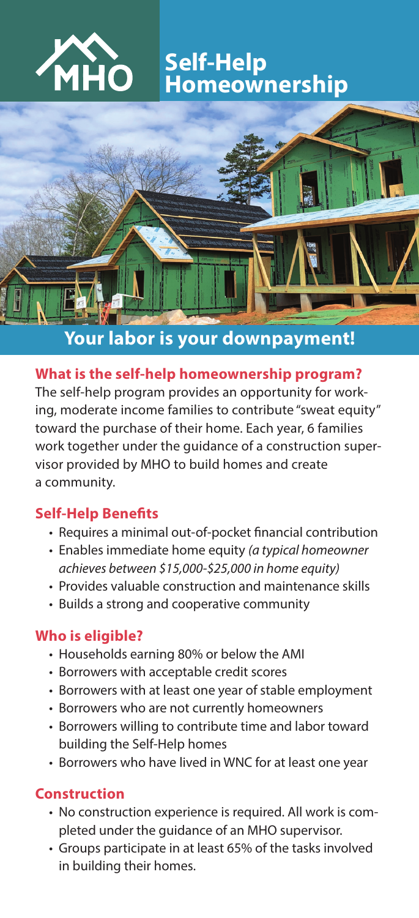

# **Self-Help Homeownership**



## **Your labor is your downpayment!**

#### **What is the self-help homeownership program?**

The self-help program provides an opportunity for working, moderate income families to contribute "sweat equity" toward the purchase of their home. Each year, 6 families work together under the guidance of a construction supervisor provided by MHO to build homes and create a community.

#### **Self-Help Benefits**

- Requires a minimal out-of-pocket financial contribution
- Enables immediate home equity *(a typical homeowner achieves between \$15,000-\$25,000 in home equity)*
- Provides valuable construction and maintenance skills
- Builds a strong and cooperative community

#### **Who is eligible?**

- Households earning 80% or below the AMI
- Borrowers with acceptable credit scores
- Borrowers with at least one year of stable employment
- Borrowers who are not currently homeowners
- Borrowers willing to contribute time and labor toward building the Self-Help homes
- Borrowers who have lived in WNC for at least one year

#### **Construction**

- No construction experience is required. All work is completed under the guidance of an MHO supervisor.
- Groups participate in at least 65% of the tasks involved in building their homes.